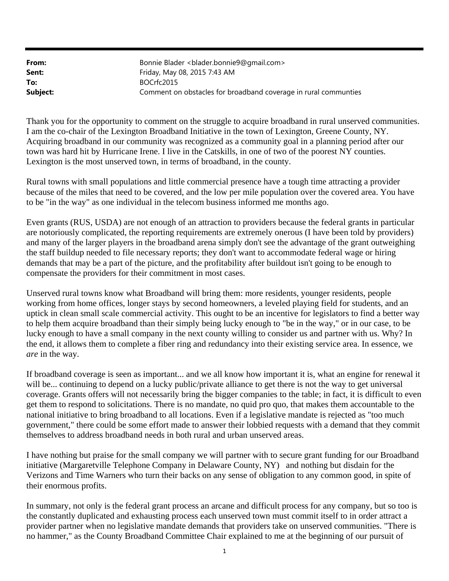| From:    | Bonnie Blader<br>blader.bonnie9@gmail.com>                      |
|----------|-----------------------------------------------------------------|
| Sent:    | Friday, May 08, 2015 7:43 AM                                    |
| To:      | BOCrfc2015                                                      |
| Subject: | Comment on obstacles for broadband coverage in rural communties |

Thank you for the opportunity to comment on the struggle to acquire broadband in rural unserved communities. I am the co-chair of the Lexington Broadband Initiative in the town of Lexington, Greene County, NY. Acquiring broadband in our community was recognized as a community goal in a planning period after our town was hard hit by Hurricane Irene. I live in the Catskills, in one of two of the poorest NY counties. Lexington is the most unserved town, in terms of broadband, in the county.

Rural towns with small populations and little commercial presence have a tough time attracting a provider because of the miles that need to be covered, and the low per mile population over the covered area. You have to be "in the way" as one individual in the telecom business informed me months ago.

Even grants (RUS, USDA) are not enough of an attraction to providers because the federal grants in particular are notoriously complicated, the reporting requirements are extremely onerous (I have been told by providers) and many of the larger players in the broadband arena simply don't see the advantage of the grant outweighing the staff buildup needed to file necessary reports; they don't want to accommodate federal wage or hiring demands that may be a part of the picture, and the profitability after buildout isn't going to be enough to compensate the providers for their commitment in most cases.

Unserved rural towns know what Broadband will bring them: more residents, younger residents, people working from home offices, longer stays by second homeowners, a leveled playing field for students, and an uptick in clean small scale commercial activity. This ought to be an incentive for legislators to find a better way to help them acquire broadband than their simply being lucky enough to "be in the way," or in our case, to be lucky enough to have a small company in the next county willing to consider us and partner with us. Why? In the end, it allows them to complete a fiber ring and redundancy into their existing service area. In essence, we *are* in the way.

If broadband coverage is seen as important... and we all know how important it is, what an engine for renewal it will be... continuing to depend on a lucky public/private alliance to get there is not the way to get universal coverage. Grants offers will not necessarily bring the bigger companies to the table; in fact, it is difficult to even get them to respond to solicitations. There is no mandate, no quid pro quo, that makes them accountable to the national initiative to bring broadband to all locations. Even if a legislative mandate is rejected as "too much government," there could be some effort made to answer their lobbied requests with a demand that they commit themselves to address broadband needs in both rural and urban unserved areas.

I have nothing but praise for the small company we will partner with to secure grant funding for our Broadband initiative (Margaretville Telephone Company in Delaware County, NY) and nothing but disdain for the Verizons and Time Warners who turn their backs on any sense of obligation to any common good, in spite of their enormous profits.

In summary, not only is the federal grant process an arcane and difficult process for any company, but so too is the constantly duplicated and exhausting process each unserved town must commit itself to in order attract a provider partner when no legislative mandate demands that providers take on unserved communities. "There is no hammer," as the County Broadband Committee Chair explained to me at the beginning of our pursuit of